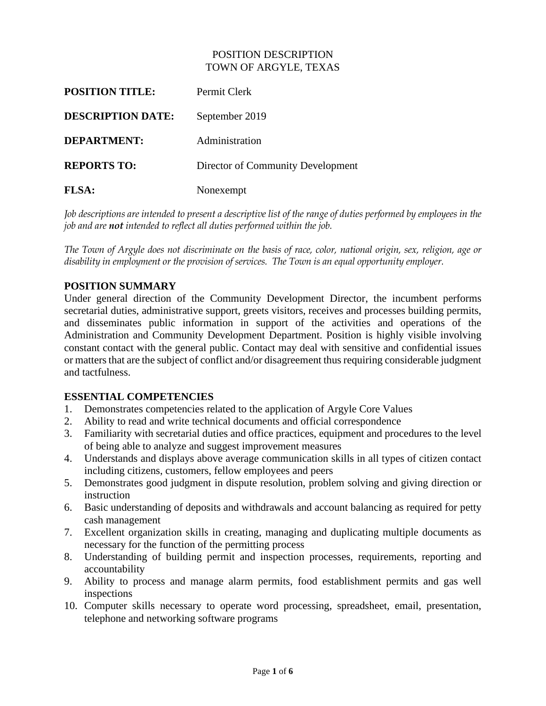# POSITION DESCRIPTION TOWN OF ARGYLE, TEXAS

| <b>POSITION TITLE:</b>   | Permit Clerk                      |
|--------------------------|-----------------------------------|
| <b>DESCRIPTION DATE:</b> | September 2019                    |
| <b>DEPARTMENT:</b>       | Administration                    |
| <b>REPORTS TO:</b>       | Director of Community Development |
| <b>FLSA:</b>             | Nonexempt                         |

*Job descriptions are intended to present a descriptive list of the range of duties performed by employees in the job and are not intended to reflect all duties performed within the job.*

*The Town of Argyle does not discriminate on the basis of race, color, national origin, sex, religion, age or disability in employment or the provision of services. The Town is an equal opportunity employer.*

# **POSITION SUMMARY**

Under general direction of the Community Development Director, the incumbent performs secretarial duties, administrative support, greets visitors, receives and processes building permits, and disseminates public information in support of the activities and operations of the Administration and Community Development Department. Position is highly visible involving constant contact with the general public. Contact may deal with sensitive and confidential issues or matters that are the subject of conflict and/or disagreement thus requiring considerable judgment and tactfulness.

# **ESSENTIAL COMPETENCIES**

- 1. Demonstrates competencies related to the application of Argyle Core Values
- 2. Ability to read and write technical documents and official correspondence
- 3. Familiarity with secretarial duties and office practices, equipment and procedures to the level of being able to analyze and suggest improvement measures
- 4. Understands and displays above average communication skills in all types of citizen contact including citizens, customers, fellow employees and peers
- 5. Demonstrates good judgment in dispute resolution, problem solving and giving direction or instruction
- 6. Basic understanding of deposits and withdrawals and account balancing as required for petty cash management
- 7. Excellent organization skills in creating, managing and duplicating multiple documents as necessary for the function of the permitting process
- 8. Understanding of building permit and inspection processes, requirements, reporting and accountability
- 9. Ability to process and manage alarm permits, food establishment permits and gas well inspections
- 10. Computer skills necessary to operate word processing, spreadsheet, email, presentation, telephone and networking software programs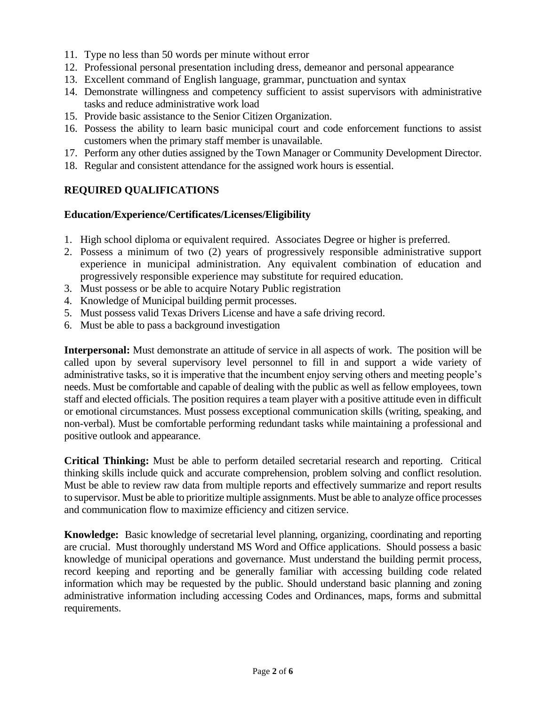- 11. Type no less than 50 words per minute without error
- 12. Professional personal presentation including dress, demeanor and personal appearance
- 13. Excellent command of English language, grammar, punctuation and syntax
- 14. Demonstrate willingness and competency sufficient to assist supervisors with administrative tasks and reduce administrative work load
- 15. Provide basic assistance to the Senior Citizen Organization.
- 16. Possess the ability to learn basic municipal court and code enforcement functions to assist customers when the primary staff member is unavailable.
- 17. Perform any other duties assigned by the Town Manager or Community Development Director.
- 18. Regular and consistent attendance for the assigned work hours is essential.

# **REQUIRED QUALIFICATIONS**

# **Education/Experience/Certificates/Licenses/Eligibility**

- 1. High school diploma or equivalent required. Associates Degree or higher is preferred.
- 2. Possess a minimum of two (2) years of progressively responsible administrative support experience in municipal administration. Any equivalent combination of education and progressively responsible experience may substitute for required education.
- 3. Must possess or be able to acquire Notary Public registration
- 4. Knowledge of Municipal building permit processes.
- 5. Must possess valid Texas Drivers License and have a safe driving record.
- 6. Must be able to pass a background investigation

**Interpersonal:** Must demonstrate an attitude of service in all aspects of work. The position will be called upon by several supervisory level personnel to fill in and support a wide variety of administrative tasks, so it is imperative that the incumbent enjoy serving others and meeting people's needs. Must be comfortable and capable of dealing with the public as well as fellow employees, town staff and elected officials. The position requires a team player with a positive attitude even in difficult or emotional circumstances. Must possess exceptional communication skills (writing, speaking, and non-verbal). Must be comfortable performing redundant tasks while maintaining a professional and positive outlook and appearance.

**Critical Thinking:** Must be able to perform detailed secretarial research and reporting. Critical thinking skills include quick and accurate comprehension, problem solving and conflict resolution. Must be able to review raw data from multiple reports and effectively summarize and report results to supervisor. Must be able to prioritize multiple assignments. Must be able to analyze office processes and communication flow to maximize efficiency and citizen service.

**Knowledge:** Basic knowledge of secretarial level planning, organizing, coordinating and reporting are crucial. Must thoroughly understand MS Word and Office applications. Should possess a basic knowledge of municipal operations and governance. Must understand the building permit process, record keeping and reporting and be generally familiar with accessing building code related information which may be requested by the public. Should understand basic planning and zoning administrative information including accessing Codes and Ordinances, maps, forms and submittal requirements.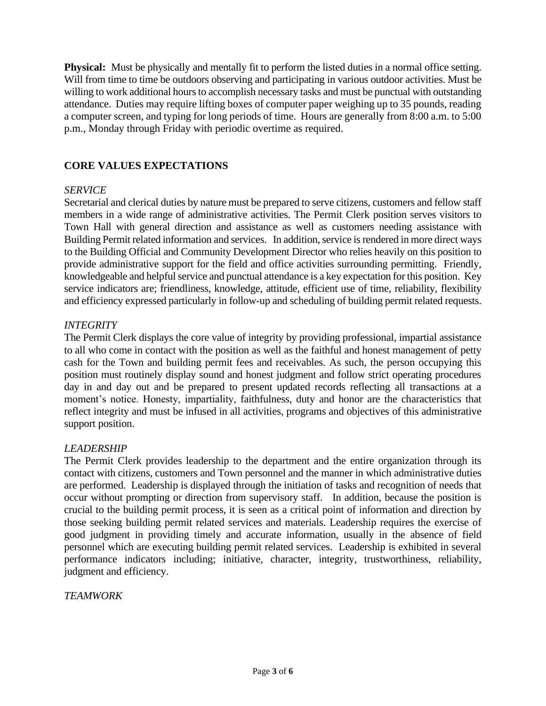**Physical:** Must be physically and mentally fit to perform the listed duties in a normal office setting. Will from time to time be outdoors observing and participating in various outdoor activities. Must be willing to work additional hours to accomplish necessary tasks and must be punctual with outstanding attendance. Duties may require lifting boxes of computer paper weighing up to 35 pounds, reading a computer screen, and typing for long periods of time. Hours are generally from 8:00 a.m. to 5:00 p.m., Monday through Friday with periodic overtime as required.

# **CORE VALUES EXPECTATIONS**

## *SERVICE*

Secretarial and clerical duties by nature must be prepared to serve citizens, customers and fellow staff members in a wide range of administrative activities. The Permit Clerk position serves visitors to Town Hall with general direction and assistance as well as customers needing assistance with Building Permit related information and services. In addition, service is rendered in more direct ways to the Building Official and Community Development Director who relies heavily on this position to provide administrative support for the field and office activities surrounding permitting. Friendly, knowledgeable and helpful service and punctual attendance is a key expectation for this position. Key service indicators are; friendliness, knowledge, attitude, efficient use of time, reliability, flexibility and efficiency expressed particularly in follow-up and scheduling of building permit related requests.

#### *INTEGRITY*

The Permit Clerk displays the core value of integrity by providing professional, impartial assistance to all who come in contact with the position as well as the faithful and honest management of petty cash for the Town and building permit fees and receivables. As such, the person occupying this position must routinely display sound and honest judgment and follow strict operating procedures day in and day out and be prepared to present updated records reflecting all transactions at a moment's notice. Honesty, impartiality, faithfulness, duty and honor are the characteristics that reflect integrity and must be infused in all activities, programs and objectives of this administrative support position.

## *LEADERSHIP*

The Permit Clerk provides leadership to the department and the entire organization through its contact with citizens, customers and Town personnel and the manner in which administrative duties are performed. Leadership is displayed through the initiation of tasks and recognition of needs that occur without prompting or direction from supervisory staff. In addition, because the position is crucial to the building permit process, it is seen as a critical point of information and direction by those seeking building permit related services and materials. Leadership requires the exercise of good judgment in providing timely and accurate information, usually in the absence of field personnel which are executing building permit related services. Leadership is exhibited in several performance indicators including; initiative, character, integrity, trustworthiness, reliability, judgment and efficiency.

## *TEAMWORK*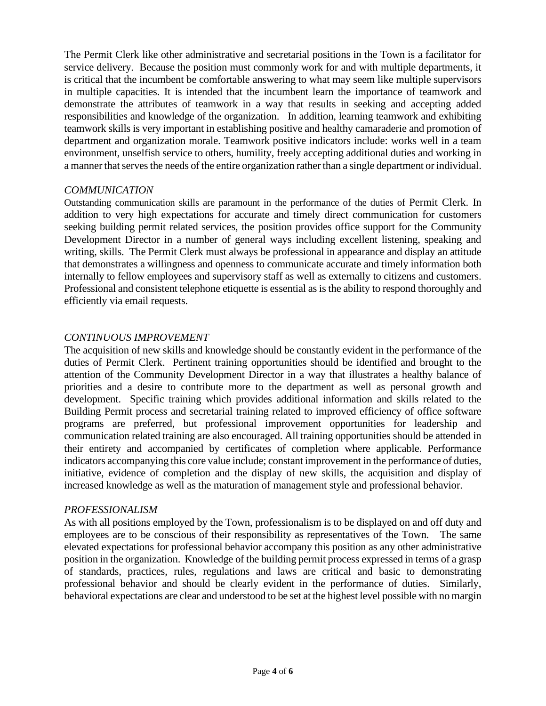The Permit Clerk like other administrative and secretarial positions in the Town is a facilitator for service delivery. Because the position must commonly work for and with multiple departments, it is critical that the incumbent be comfortable answering to what may seem like multiple supervisors in multiple capacities. It is intended that the incumbent learn the importance of teamwork and demonstrate the attributes of teamwork in a way that results in seeking and accepting added responsibilities and knowledge of the organization. In addition, learning teamwork and exhibiting teamwork skills is very important in establishing positive and healthy camaraderie and promotion of department and organization morale. Teamwork positive indicators include: works well in a team environment, unselfish service to others, humility, freely accepting additional duties and working in a manner that serves the needs of the entire organization rather than a single department or individual.

# *COMMUNICATION*

Outstanding communication skills are paramount in the performance of the duties of Permit Clerk. In addition to very high expectations for accurate and timely direct communication for customers seeking building permit related services, the position provides office support for the Community Development Director in a number of general ways including excellent listening, speaking and writing, skills. The Permit Clerk must always be professional in appearance and display an attitude that demonstrates a willingness and openness to communicate accurate and timely information both internally to fellow employees and supervisory staff as well as externally to citizens and customers. Professional and consistent telephone etiquette is essential as is the ability to respond thoroughly and efficiently via email requests.

# *CONTINUOUS IMPROVEMENT*

The acquisition of new skills and knowledge should be constantly evident in the performance of the duties of Permit Clerk. Pertinent training opportunities should be identified and brought to the attention of the Community Development Director in a way that illustrates a healthy balance of priorities and a desire to contribute more to the department as well as personal growth and development. Specific training which provides additional information and skills related to the Building Permit process and secretarial training related to improved efficiency of office software programs are preferred, but professional improvement opportunities for leadership and communication related training are also encouraged. All training opportunities should be attended in their entirety and accompanied by certificates of completion where applicable. Performance indicators accompanying this core value include; constant improvement in the performance of duties, initiative, evidence of completion and the display of new skills, the acquisition and display of increased knowledge as well as the maturation of management style and professional behavior.

## *PROFESSIONALISM*

As with all positions employed by the Town, professionalism is to be displayed on and off duty and employees are to be conscious of their responsibility as representatives of the Town. The same elevated expectations for professional behavior accompany this position as any other administrative position in the organization. Knowledge of the building permit process expressed in terms of a grasp of standards, practices, rules, regulations and laws are critical and basic to demonstrating professional behavior and should be clearly evident in the performance of duties. Similarly, behavioral expectations are clear and understood to be set at the highest level possible with no margin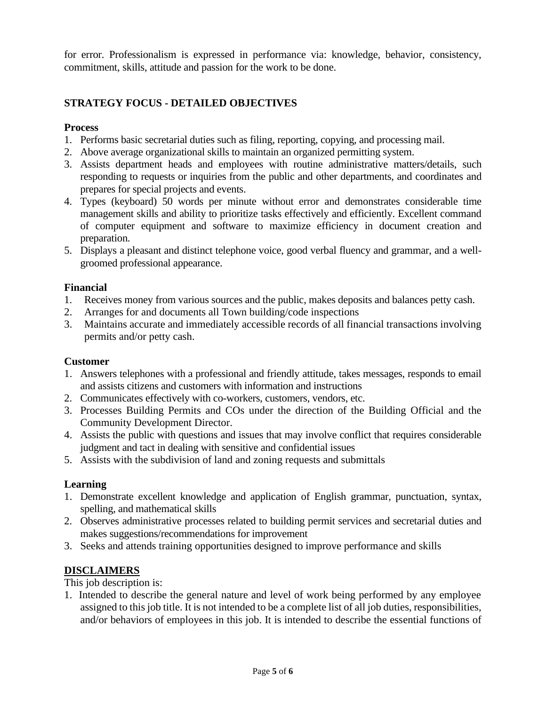for error. Professionalism is expressed in performance via: knowledge, behavior, consistency, commitment, skills, attitude and passion for the work to be done.

# **STRATEGY FOCUS - DETAILED OBJECTIVES**

## **Process**

- 1. Performs basic secretarial duties such as filing, reporting, copying, and processing mail.
- 2. Above average organizational skills to maintain an organized permitting system.
- 3. Assists department heads and employees with routine administrative matters/details, such responding to requests or inquiries from the public and other departments, and coordinates and prepares for special projects and events.
- 4. Types (keyboard) 50 words per minute without error and demonstrates considerable time management skills and ability to prioritize tasks effectively and efficiently. Excellent command of computer equipment and software to maximize efficiency in document creation and preparation.
- 5. Displays a pleasant and distinct telephone voice, good verbal fluency and grammar, and a wellgroomed professional appearance.

# **Financial**

- 1. Receives money from various sources and the public, makes deposits and balances petty cash.
- 2. Arranges for and documents all Town building/code inspections
- 3. Maintains accurate and immediately accessible records of all financial transactions involving permits and/or petty cash.

## **Customer**

- 1. Answers telephones with a professional and friendly attitude, takes messages, responds to email and assists citizens and customers with information and instructions
- 2. Communicates effectively with co-workers, customers, vendors, etc.
- 3. Processes Building Permits and COs under the direction of the Building Official and the Community Development Director.
- 4. Assists the public with questions and issues that may involve conflict that requires considerable judgment and tact in dealing with sensitive and confidential issues
- 5. Assists with the subdivision of land and zoning requests and submittals

## **Learning**

- 1. Demonstrate excellent knowledge and application of English grammar, punctuation, syntax, spelling, and mathematical skills
- 2. Observes administrative processes related to building permit services and secretarial duties and makes suggestions/recommendations for improvement
- 3. Seeks and attends training opportunities designed to improve performance and skills

# **DISCLAIMERS**

This job description is:

1. Intended to describe the general nature and level of work being performed by any employee assigned to this job title. It is not intended to be a complete list of all job duties, responsibilities, and/or behaviors of employees in this job. It is intended to describe the essential functions of